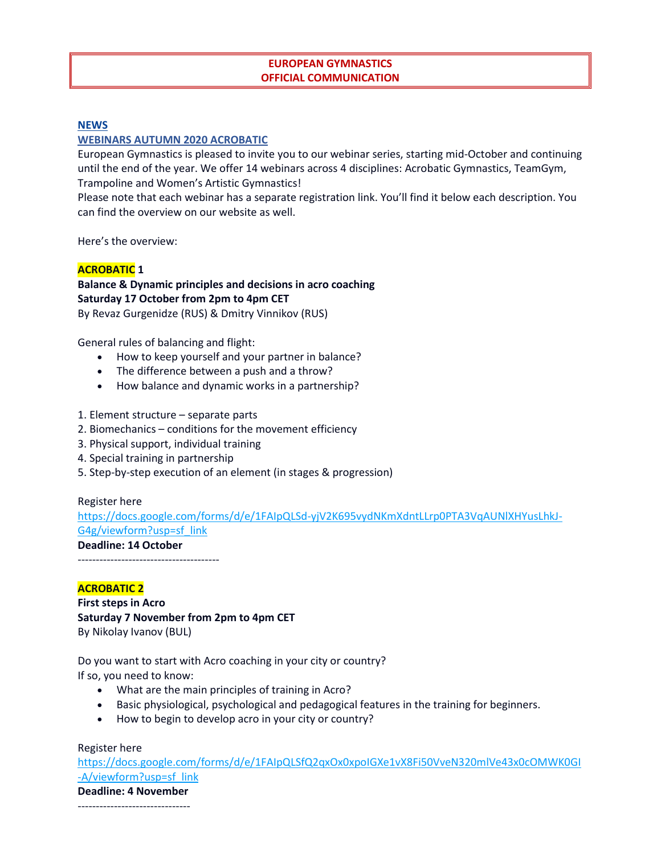# **EUROPEAN GYMNASTICS OFFICIAL COMMUNICATION**

### **[NEWS](https://www.europeangymnastics.com/news)**

### **[WEBINARS AUTUMN 2020](https://www.europeangymnastics.com/news/webinars-autumn-2020) ACROBATIC**

European Gymnastics is pleased to invite you to our webinar series, starting mid-October and continuing until the end of the year. We offer 14 webinars across 4 disciplines: Acrobatic Gymnastics, TeamGym, Trampoline and Women's Artistic Gymnastics!

Please note that each webinar has a separate registration link. You'll find it below each description. You can find the overview on our website as well.

Here's the overview:

### **ACROBATIC 1**

# **Balance & Dynamic principles and decisions in acro coaching Saturday 17 October from 2pm to 4pm CET**

By Revaz Gurgenidze (RUS) & Dmitry Vinnikov (RUS)

General rules of balancing and flight:

- How to keep yourself and your partner in balance?
- The difference between a push and a throw?
- How balance and dynamic works in a partnership?
- 1. Element structure separate parts
- 2. Biomechanics conditions for the movement efficiency
- 3. Physical support, individual training
- 4. Special training in partnership
- 5. Step-by-step execution of an element (in stages & progression)

Register here

[https://docs.google.com/forms/d/e/1FAIpQLSd-yjV2K695vydNKmXdntLLrp0PTA3VqAUNlXHYusLhkJ-](https://docs.google.com/forms/d/e/1FAIpQLSd-yjV2K695vydNKmXdntLLrp0PTA3VqAUNlXHYusLhkJ-G4g/viewform?usp=sf_link)[G4g/viewform?usp=sf\\_link](https://docs.google.com/forms/d/e/1FAIpQLSd-yjV2K695vydNKmXdntLLrp0PTA3VqAUNlXHYusLhkJ-G4g/viewform?usp=sf_link)

### **Deadline: 14 October**

---------------------------------------

#### **ACROBATIC 2**

**First steps in Acro Saturday 7 November from 2pm to 4pm CET** By Nikolay Ivanov (BUL)

Do you want to start with Acro coaching in your city or country? If so, you need to know:

- What are the main principles of training in Acro?
- Basic physiological, psychological and pedagogical features in the training for beginners.
- How to begin to develop acro in your city or country?

Register here

[https://docs.google.com/forms/d/e/1FAIpQLSfQ2qxOx0xpoIGXe1vX8Fi50VveN320mlVe43x0cOMWK0GI](https://docs.google.com/forms/d/e/1FAIpQLSfQ2qxOx0xpoIGXe1vX8Fi50VveN320mlVe43x0cOMWK0GI-A/viewform?usp=sf_link) [-A/viewform?usp=sf\\_link](https://docs.google.com/forms/d/e/1FAIpQLSfQ2qxOx0xpoIGXe1vX8Fi50VveN320mlVe43x0cOMWK0GI-A/viewform?usp=sf_link)

**Deadline: 4 November** -------------------------------